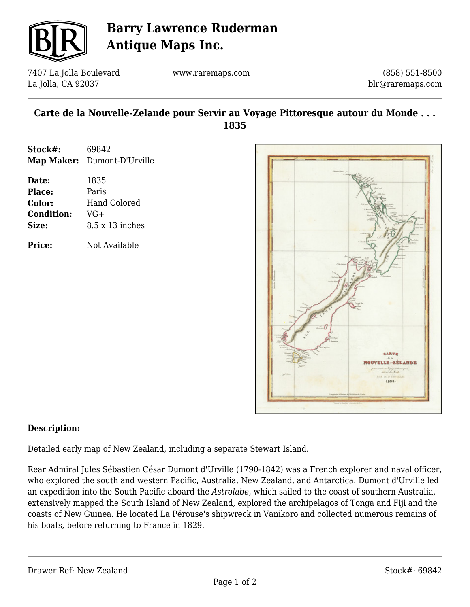

# **Barry Lawrence Ruderman Antique Maps Inc.**

7407 La Jolla Boulevard La Jolla, CA 92037

www.raremaps.com

(858) 551-8500 blr@raremaps.com

### **Carte de la Nouvelle-Zelande pour Servir au Voyage Pittoresque autour du Monde . . . 1835**

| Stock#: | 69842                       |
|---------|-----------------------------|
|         | Map Maker: Dumont-D'Urville |

| Date:             | 1835                   |
|-------------------|------------------------|
| <b>Place:</b>     | Paris                  |
| Color:            | <b>Hand Colored</b>    |
| <b>Condition:</b> | $VG+$                  |
| Size:             | $8.5 \times 13$ inches |
|                   |                        |

**Price:** Not Available



#### **Description:**

Detailed early map of New Zealand, including a separate Stewart Island.

Rear Admiral Jules Sébastien César Dumont d'Urville (1790-1842) was a French explorer and naval officer, who explored the south and western Pacific, Australia, New Zealand, and Antarctica. Dumont d'Urville led an expedition into the South Pacific aboard the *Astrolabe*, which sailed to the coast of southern Australia, extensively mapped the South Island of New Zealand, explored the archipelagos of Tonga and Fiji and the coasts of New Guinea. He located La Pérouse's shipwreck in Vanikoro and collected numerous remains of his boats, before returning to France in 1829.